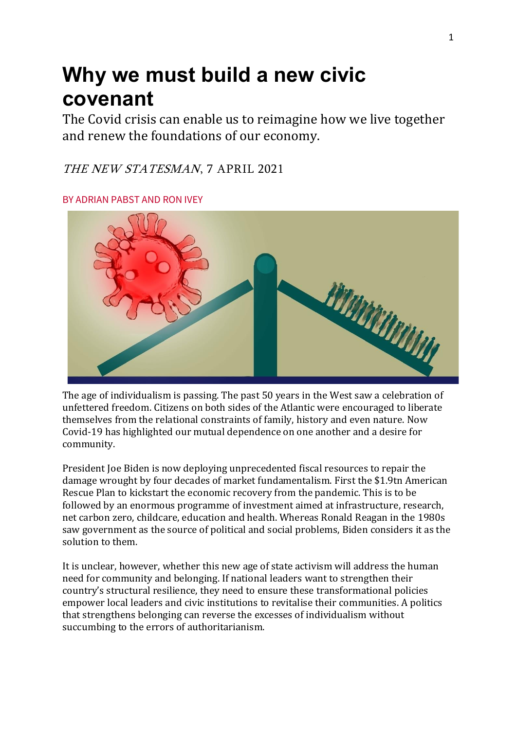## **Why we must build a new civic covenant**

The Covid crisis can enable us to reimagine how we live together and renew the foundations of our economy.

## THE NEW STATESMAN, 7 APRIL 2021

BY ADRIAN PABST AND RON IVEY



The age of individualism is passing. The past 50 years in the West saw a celebration of unfettered freedom. Citizens on both sides of the Atlantic were encouraged to liberate themselves from the relational constraints of family, history and even nature. Now Covid-19 has highlighted our mutual dependence on one another and a desire for community.

President Joe Biden is now deploying unprecedented fiscal resources to repair the damage wrought by four decades of market fundamentalism. First the \$1.9tn American Rescue Plan to kickstart the economic recovery from the pandemic. This is to be followed by an enormous programme of investment aimed at infrastructure, research, net carbon zero, childcare, education and health. Whereas Ronald Reagan in the 1980s saw government as the source of political and social problems, Biden considers it as the solution to them.

It is unclear, however, whether this new age of state activism will address the human need for community and belonging. If national leaders want to strengthen their country's structural resilience, they need to ensure these transformational policies empower local leaders and civic institutions to revitalise their communities. A politics that strengthens belonging can reverse the excesses of individualism without succumbing to the errors of authoritarianism.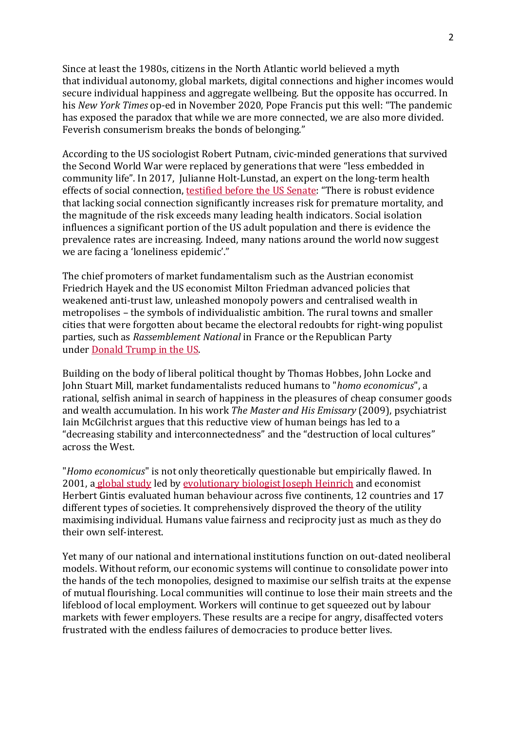Since at least the 1980s, citizens in the North Atlantic world believed a myth that individual autonomy, global markets, digital connections and higher incomes would secure individual happiness and aggregate wellbeing. But the opposite has occurred. In his *New York Times* op-ed in November 2020, Pope Francis put this well: "The pandemic has exposed the paradox that while we are more connected, we are also more divided. Feverish consumerism breaks the bonds of belonging."

According to the US sociologist Robert Putnam, civic-minded generations that survived the Second World War were replaced by generations that were "less embedded in community life". In 2017, Julianne Holt-Lunstad, an expert on the long-term health effects of social connection, [testified](https://www.aging.senate.gov/imo/media/doc/SCA_Holt_04_27_17.pdf) before the US Senate: "There is robust evidence that lacking social connection significantly increases risk for premature mortality, and the magnitude of the risk exceeds many leading health indicators. Social isolation influences a significant portion of the US adult population and there is evidence the prevalence rates are increasing. Indeed, many nations around the world now suggest we are facing a 'loneliness epidemic'."

The chief promoters of market fundamentalism such as the Austrian economist Friedrich Hayek and the US economist Milton Friedman advanced policies that weakened anti-trust law, unleashed monopoly powers and centralised wealth in metropolises – the symbols of individualistic ambition. The rural towns and smaller cities that were forgotten about became the electoral redoubts for right-wing populist parties, such as *Rassemblement National* in France or the Republican Party under [Donald](https://www.brookings.edu/research/americas-crisis-of-despair-a-federal-task-force-for-economic-recovery-and-societal-well-being/?preview_id=1402113) Trump in the US.

Building on the body of liberal political thought by Thomas Hobbes, John Locke and John Stuart Mill, market fundamentalists reduced humans to "*homo economicus*", a rational, selfish animal in search of happiness in the pleasures of cheap consumer goods and wealth accumulation. In his work *The Master and His Emissary* (2009), psychiatrist Iain McGilchrist argues that this reductive view of human beings has led to a "decreasing stability and interconnectedness" and the "destruction of local cultures" across the West.

"*Homo economicus*" is not only theoretically questionable but empirically flawed. In 2001, a [global](https://pubs.aeaweb.org/doi/pdf/10.1257/aer.91.2.73) study led by [evolutionary](https://www.newstatesman.com/culture/observations/2020/10/mad-behaviour-psychologist-joseph-henrich-what-makes-us-weird) biologist Joseph Heinrich and economist Herbert Gintis evaluated human behaviour across five continents, 12 countries and 17 different types of societies. It comprehensively disproved the theory of the utility maximising individual. Humans value fairness and reciprocity just as much as they do their own self-interest.

Yet many of our national and international institutions function on out-dated neoliberal models. Without reform, our economic systems will continue to consolidate power into the hands of the tech monopolies, designed to maximise our selfish traits at the expense of mutual flourishing. Local communities will continue to lose their main streets and the lifeblood of local employment. Workers will continue to get squeezed out by labour markets with fewer employers. These results are a recipe for angry, disaffected voters frustrated with the endless failures of democracies to produce better lives.